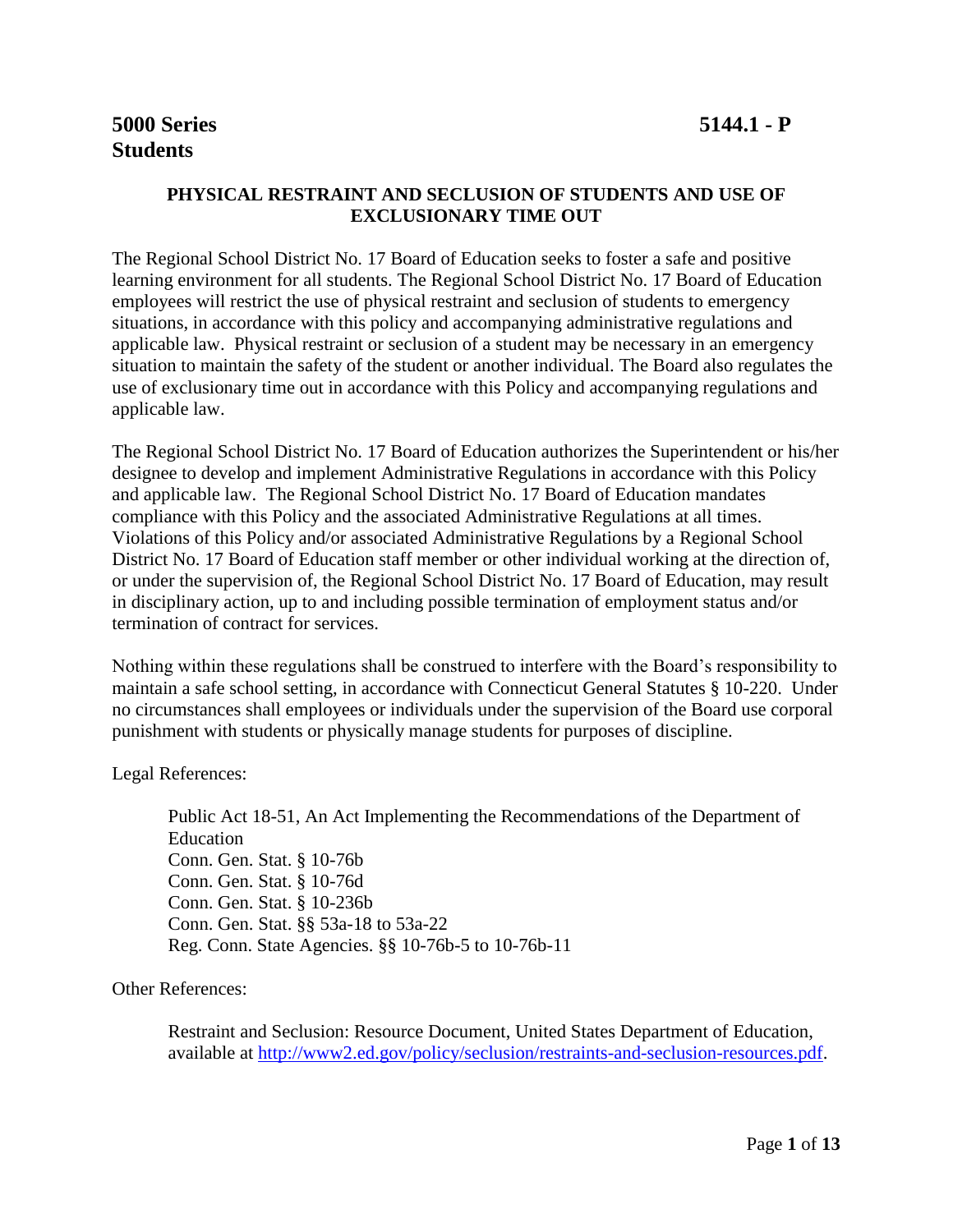# **5000 Series 5144.1 - P Students**

#### **PHYSICAL RESTRAINT AND SECLUSION OF STUDENTS AND USE OF EXCLUSIONARY TIME OUT**

The Regional School District No. 17 Board of Education seeks to foster a safe and positive learning environment for all students. The Regional School District No. 17 Board of Education employees will restrict the use of physical restraint and seclusion of students to emergency situations, in accordance with this policy and accompanying administrative regulations and applicable law. Physical restraint or seclusion of a student may be necessary in an emergency situation to maintain the safety of the student or another individual. The Board also regulates the use of exclusionary time out in accordance with this Policy and accompanying regulations and applicable law.

The Regional School District No. 17 Board of Education authorizes the Superintendent or his/her designee to develop and implement Administrative Regulations in accordance with this Policy and applicable law. The Regional School District No. 17 Board of Education mandates compliance with this Policy and the associated Administrative Regulations at all times. Violations of this Policy and/or associated Administrative Regulations by a Regional School District No. 17 Board of Education staff member or other individual working at the direction of, or under the supervision of, the Regional School District No. 17 Board of Education, may result in disciplinary action, up to and including possible termination of employment status and/or termination of contract for services.

Nothing within these regulations shall be construed to interfere with the Board's responsibility to maintain a safe school setting, in accordance with Connecticut General Statutes § 10-220. Under no circumstances shall employees or individuals under the supervision of the Board use corporal punishment with students or physically manage students for purposes of discipline.

Legal References:

Public Act 18-51, An Act Implementing the Recommendations of the Department of Education Conn. Gen. Stat. § 10-76b Conn. Gen. Stat. § 10-76d Conn. Gen. Stat. § 10-236b Conn. Gen. Stat. §§ 53a-18 to 53a-22 Reg. Conn. State Agencies. §§ 10-76b-5 to 10-76b-11

Other References:

Restraint and Seclusion: Resource Document, United States Department of Education, available at [http://www2.ed.gov/policy/seclusion/restraints-and-seclusion-resources.pdf.](http://www2.ed.gov/policy/seclusion/restraints-and-seclusion-resources.pdf)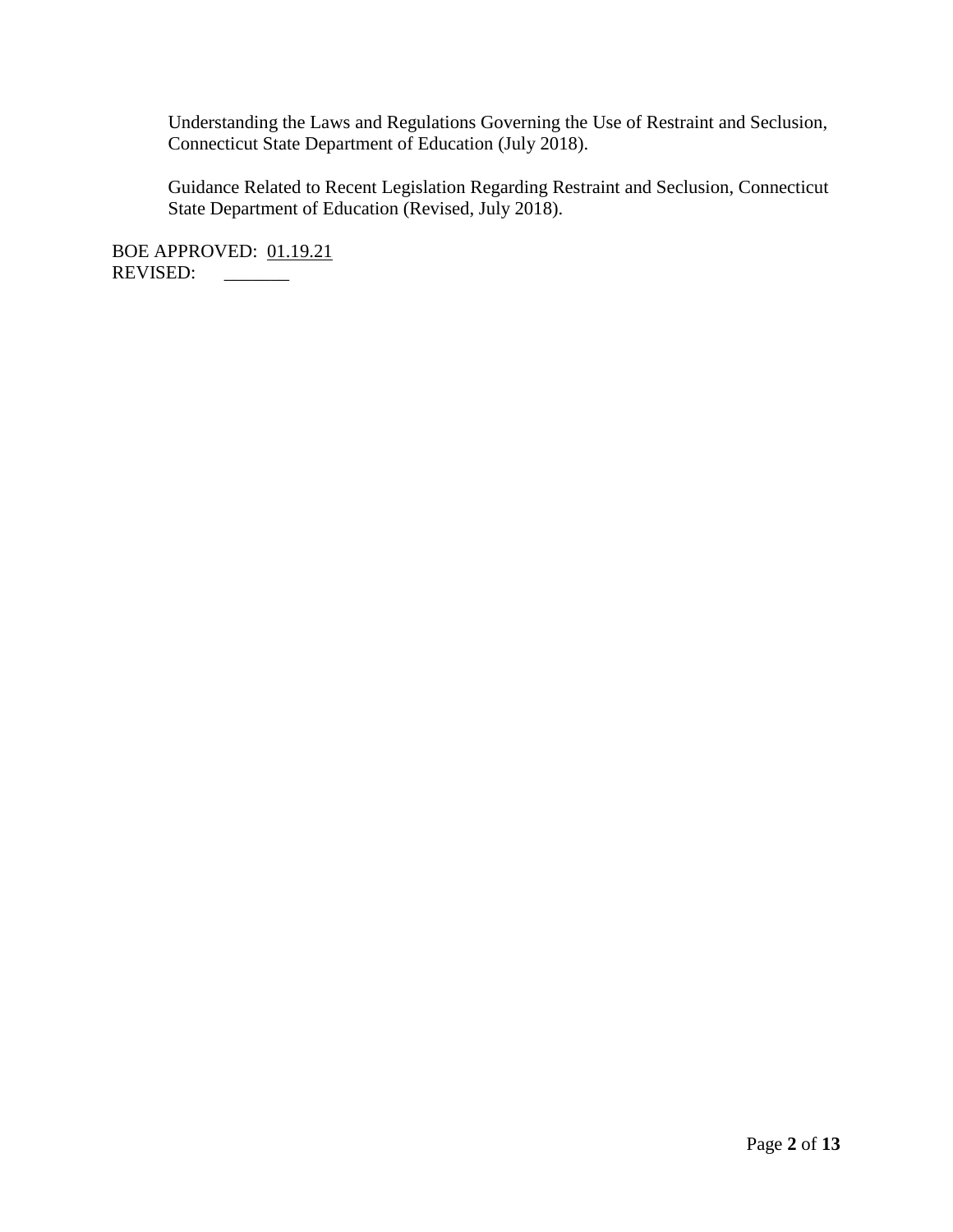Understanding the Laws and Regulations Governing the Use of Restraint and Seclusion, Connecticut State Department of Education (July 2018).

Guidance Related to Recent Legislation Regarding Restraint and Seclusion, Connecticut State Department of Education (Revised, July 2018).

BOE APPROVED: 01.19.21 REVISED: \_\_\_\_\_\_\_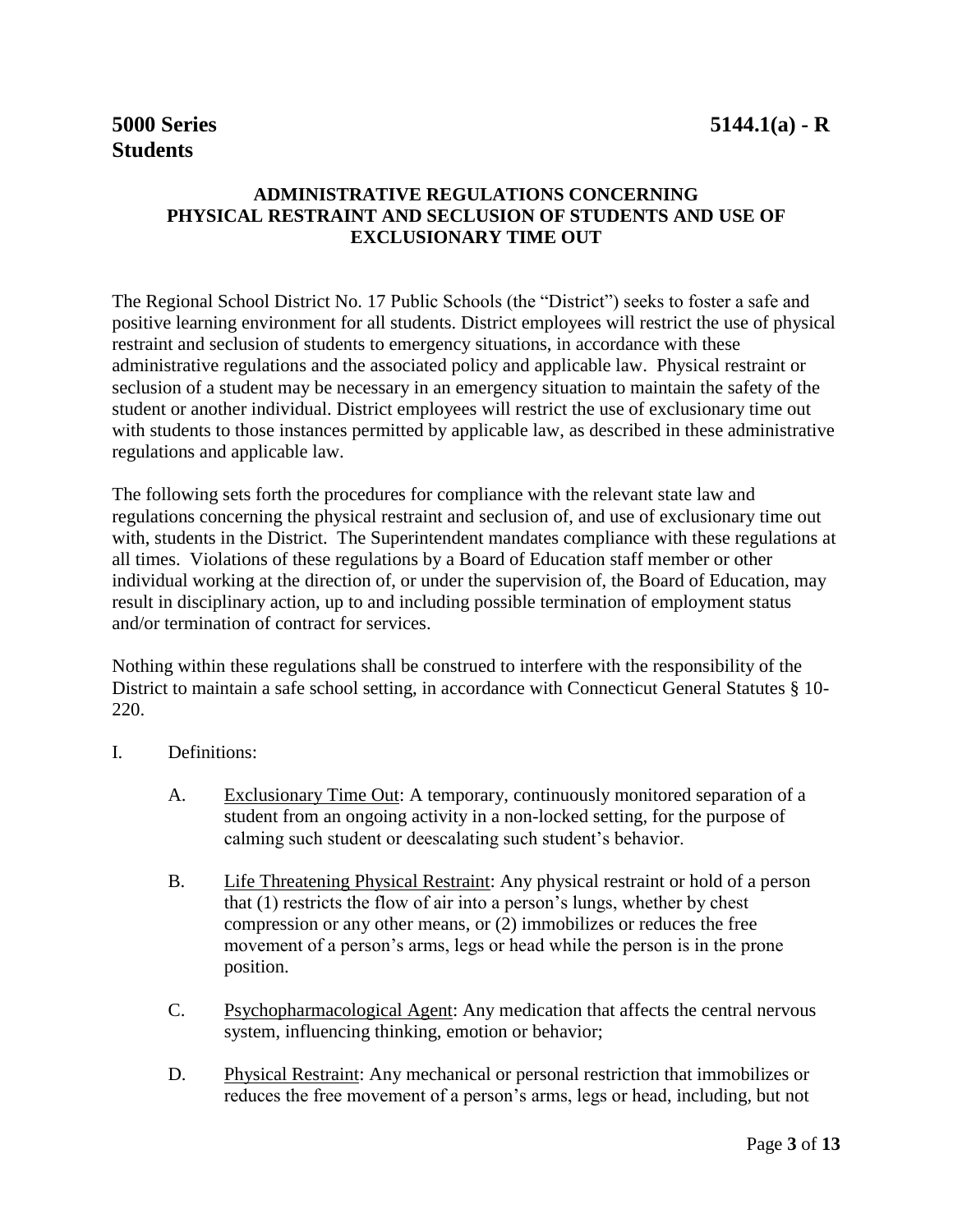# **Students**

## **ADMINISTRATIVE REGULATIONS CONCERNING PHYSICAL RESTRAINT AND SECLUSION OF STUDENTS AND USE OF EXCLUSIONARY TIME OUT**

The Regional School District No. 17 Public Schools (the "District") seeks to foster a safe and positive learning environment for all students. District employees will restrict the use of physical restraint and seclusion of students to emergency situations, in accordance with these administrative regulations and the associated policy and applicable law. Physical restraint or seclusion of a student may be necessary in an emergency situation to maintain the safety of the student or another individual. District employees will restrict the use of exclusionary time out with students to those instances permitted by applicable law, as described in these administrative regulations and applicable law.

The following sets forth the procedures for compliance with the relevant state law and regulations concerning the physical restraint and seclusion of, and use of exclusionary time out with, students in the District. The Superintendent mandates compliance with these regulations at all times. Violations of these regulations by a Board of Education staff member or other individual working at the direction of, or under the supervision of, the Board of Education, may result in disciplinary action, up to and including possible termination of employment status and/or termination of contract for services.

Nothing within these regulations shall be construed to interfere with the responsibility of the District to maintain a safe school setting, in accordance with Connecticut General Statutes § 10- 220.

- I. Definitions:
	- A. Exclusionary Time Out: A temporary, continuously monitored separation of a student from an ongoing activity in a non-locked setting, for the purpose of calming such student or deescalating such student's behavior.
	- B. Life Threatening Physical Restraint: Any physical restraint or hold of a person that (1) restricts the flow of air into a person's lungs, whether by chest compression or any other means, or (2) immobilizes or reduces the free movement of a person's arms, legs or head while the person is in the prone position.
	- C. Psychopharmacological Agent: Any medication that affects the central nervous system, influencing thinking, emotion or behavior;
	- D. Physical Restraint: Any mechanical or personal restriction that immobilizes or reduces the free movement of a person's arms, legs or head, including, but not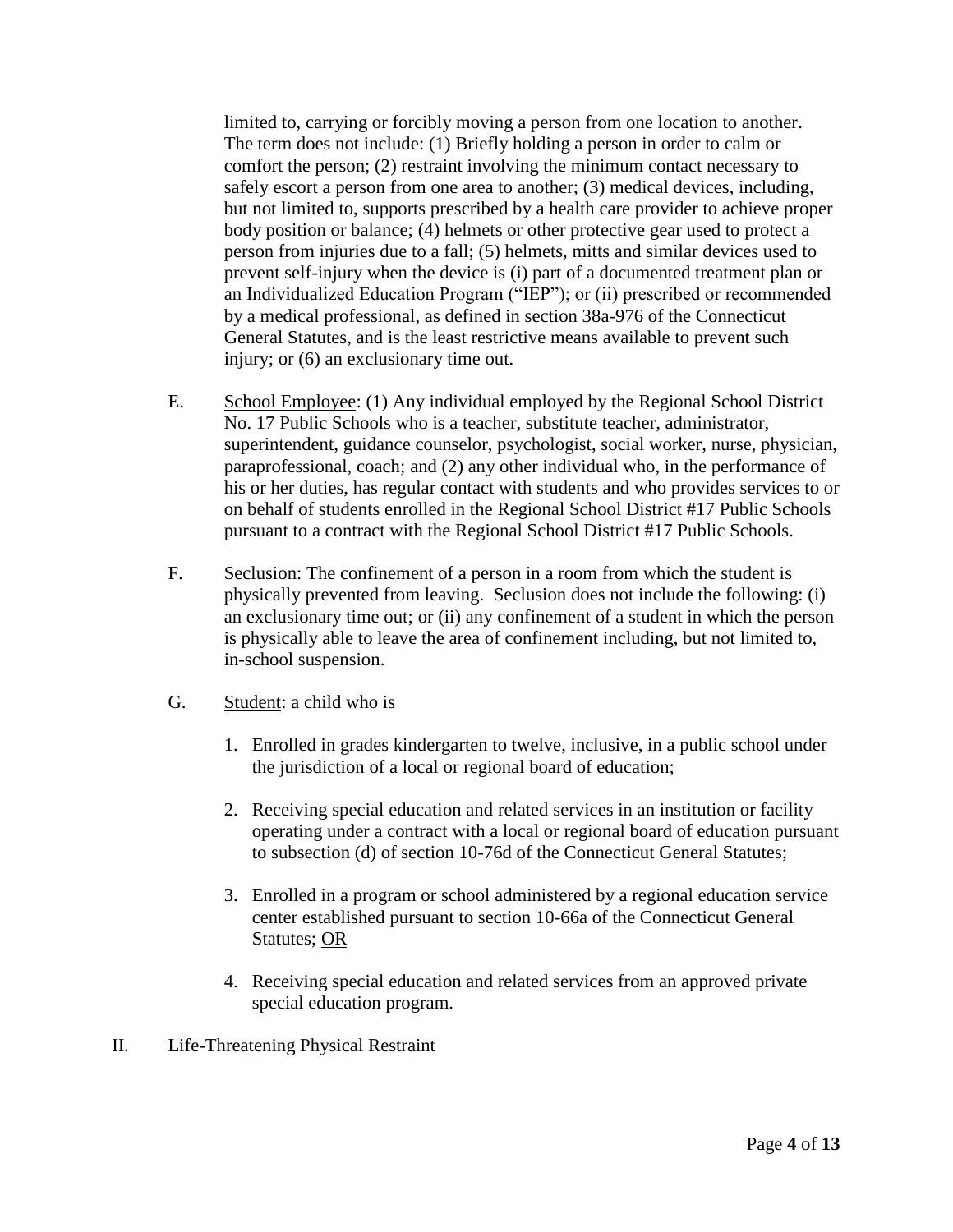limited to, carrying or forcibly moving a person from one location to another. The term does not include: (1) Briefly holding a person in order to calm or comfort the person; (2) restraint involving the minimum contact necessary to safely escort a person from one area to another; (3) medical devices, including, but not limited to, supports prescribed by a health care provider to achieve proper body position or balance; (4) helmets or other protective gear used to protect a person from injuries due to a fall; (5) helmets, mitts and similar devices used to prevent self-injury when the device is (i) part of a documented treatment plan or an Individualized Education Program ("IEP"); or (ii) prescribed or recommended by a medical professional, as defined in section 38a-976 of the Connecticut General Statutes, and is the least restrictive means available to prevent such injury; or (6) an exclusionary time out.

- E. School Employee: (1) Any individual employed by the Regional School District No. 17 Public Schools who is a teacher, substitute teacher, administrator, superintendent, guidance counselor, psychologist, social worker, nurse, physician, paraprofessional, coach; and (2) any other individual who, in the performance of his or her duties, has regular contact with students and who provides services to or on behalf of students enrolled in the Regional School District #17 Public Schools pursuant to a contract with the Regional School District #17 Public Schools.
- F. Seclusion: The confinement of a person in a room from which the student is physically prevented from leaving. Seclusion does not include the following: (i) an exclusionary time out; or (ii) any confinement of a student in which the person is physically able to leave the area of confinement including, but not limited to, in-school suspension.
- G. Student: a child who is
	- 1. Enrolled in grades kindergarten to twelve, inclusive, in a public school under the jurisdiction of a local or regional board of education;
	- 2. Receiving special education and related services in an institution or facility operating under a contract with a local or regional board of education pursuant to subsection (d) of section 10-76d of the Connecticut General Statutes;
	- 3. Enrolled in a program or school administered by a regional education service center established pursuant to section 10-66a of the Connecticut General Statutes; OR
	- 4. Receiving special education and related services from an approved private special education program.
- II. Life-Threatening Physical Restraint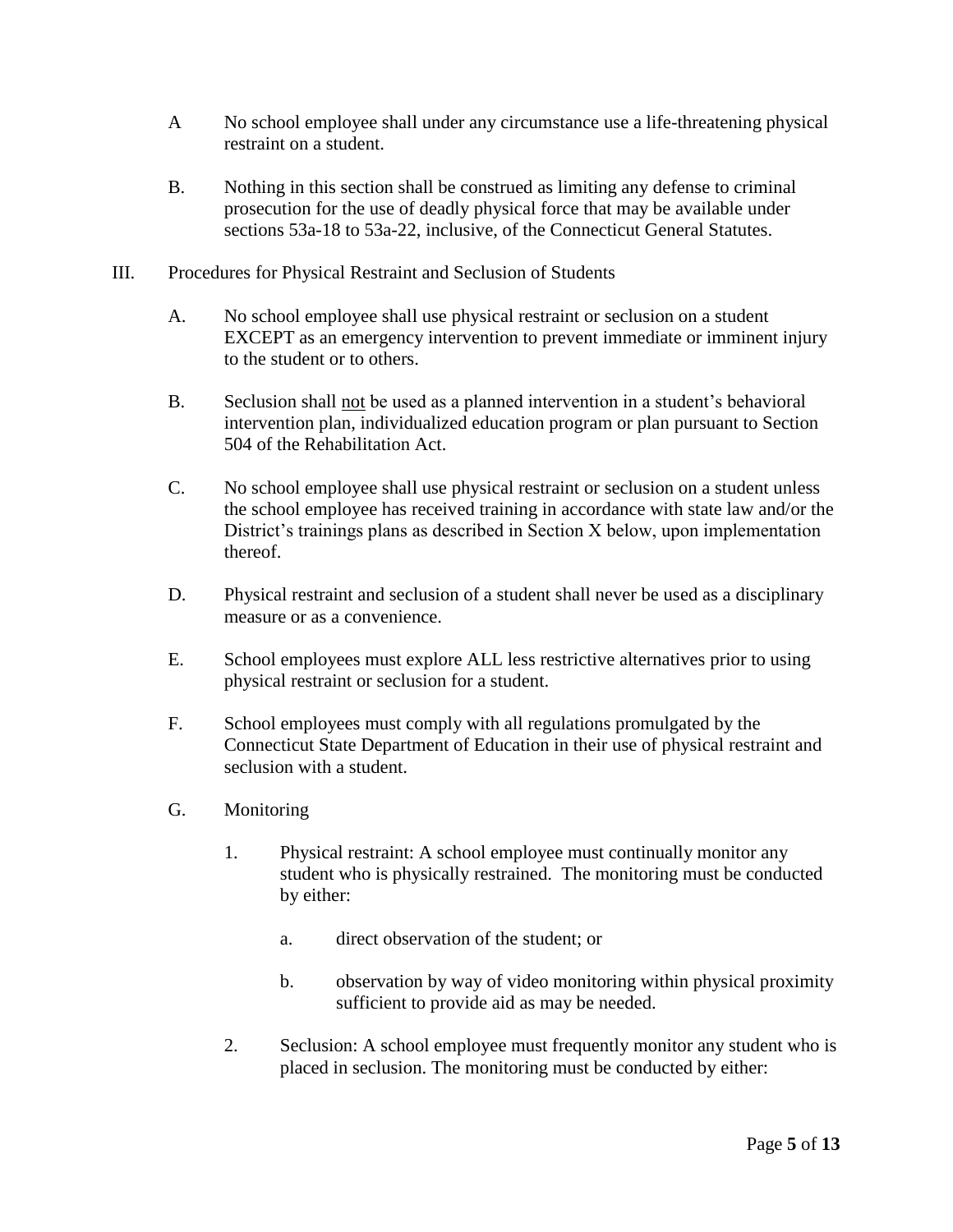- A No school employee shall under any circumstance use a life-threatening physical restraint on a student.
- B. Nothing in this section shall be construed as limiting any defense to criminal prosecution for the use of deadly physical force that may be available under sections 53a-18 to 53a-22, inclusive, of the Connecticut General Statutes.
- III. Procedures for Physical Restraint and Seclusion of Students
	- A. No school employee shall use physical restraint or seclusion on a student EXCEPT as an emergency intervention to prevent immediate or imminent injury to the student or to others.
	- B. Seclusion shall not be used as a planned intervention in a student's behavioral intervention plan, individualized education program or plan pursuant to Section 504 of the Rehabilitation Act.
	- C. No school employee shall use physical restraint or seclusion on a student unless the school employee has received training in accordance with state law and/or the District's trainings plans as described in Section X below, upon implementation thereof.
	- D. Physical restraint and seclusion of a student shall never be used as a disciplinary measure or as a convenience.
	- E. School employees must explore ALL less restrictive alternatives prior to using physical restraint or seclusion for a student.
	- F. School employees must comply with all regulations promulgated by the Connecticut State Department of Education in their use of physical restraint and seclusion with a student.
	- G. Monitoring
		- 1. Physical restraint: A school employee must continually monitor any student who is physically restrained. The monitoring must be conducted by either:
			- a. direct observation of the student; or
			- b. observation by way of video monitoring within physical proximity sufficient to provide aid as may be needed.
		- 2. Seclusion: A school employee must frequently monitor any student who is placed in seclusion. The monitoring must be conducted by either: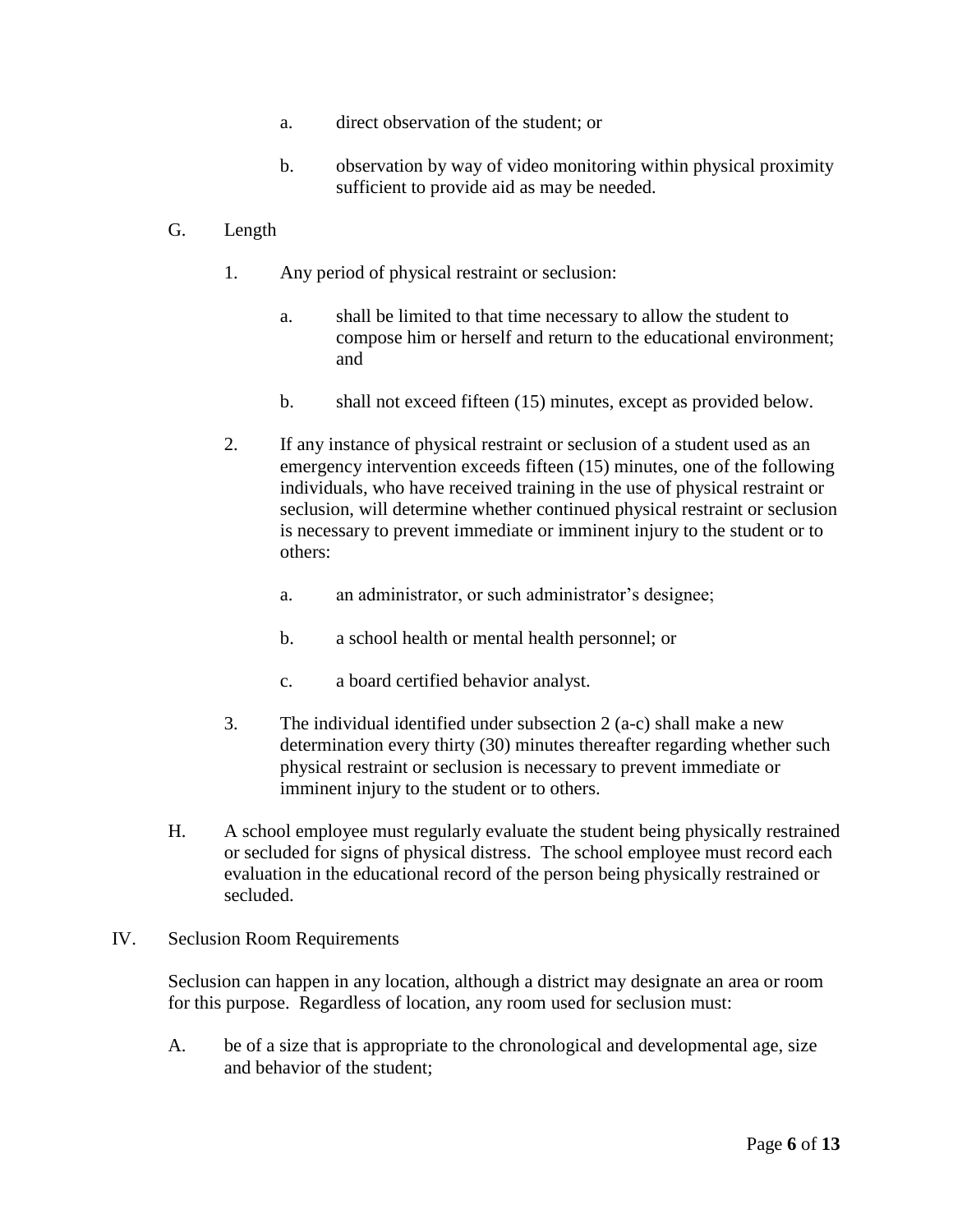- a. direct observation of the student; or
- b. observation by way of video monitoring within physical proximity sufficient to provide aid as may be needed.

### G. Length

- 1. Any period of physical restraint or seclusion:
	- a. shall be limited to that time necessary to allow the student to compose him or herself and return to the educational environment; and
	- b. shall not exceed fifteen (15) minutes, except as provided below.
- 2. If any instance of physical restraint or seclusion of a student used as an emergency intervention exceeds fifteen (15) minutes, one of the following individuals, who have received training in the use of physical restraint or seclusion, will determine whether continued physical restraint or seclusion is necessary to prevent immediate or imminent injury to the student or to others:
	- a. an administrator, or such administrator's designee;
	- b. a school health or mental health personnel; or
	- c. a board certified behavior analyst.
- 3. The individual identified under subsection 2 (a-c) shall make a new determination every thirty (30) minutes thereafter regarding whether such physical restraint or seclusion is necessary to prevent immediate or imminent injury to the student or to others.
- H. A school employee must regularly evaluate the student being physically restrained or secluded for signs of physical distress. The school employee must record each evaluation in the educational record of the person being physically restrained or secluded.
- IV. Seclusion Room Requirements

Seclusion can happen in any location, although a district may designate an area or room for this purpose. Regardless of location, any room used for seclusion must:

A. be of a size that is appropriate to the chronological and developmental age, size and behavior of the student;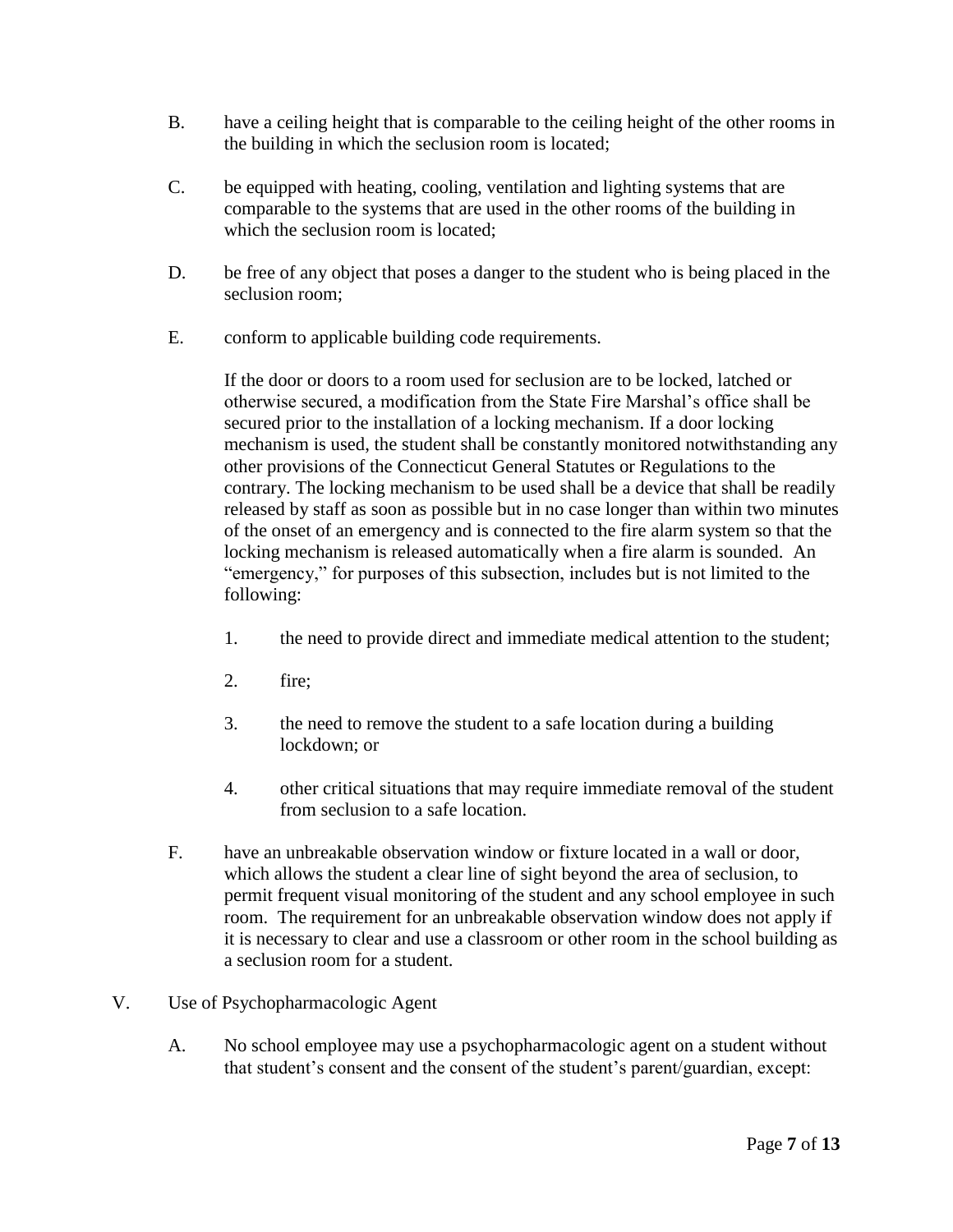- B. have a ceiling height that is comparable to the ceiling height of the other rooms in the building in which the seclusion room is located;
- C. be equipped with heating, cooling, ventilation and lighting systems that are comparable to the systems that are used in the other rooms of the building in which the seclusion room is located:
- D. be free of any object that poses a danger to the student who is being placed in the seclusion room;
- E. conform to applicable building code requirements.

If the door or doors to a room used for seclusion are to be locked, latched or otherwise secured, a modification from the State Fire Marshal's office shall be secured prior to the installation of a locking mechanism. If a door locking mechanism is used, the student shall be constantly monitored notwithstanding any other provisions of the Connecticut General Statutes or Regulations to the contrary. The locking mechanism to be used shall be a device that shall be readily released by staff as soon as possible but in no case longer than within two minutes of the onset of an emergency and is connected to the fire alarm system so that the locking mechanism is released automatically when a fire alarm is sounded. An "emergency," for purposes of this subsection, includes but is not limited to the following:

- 1. the need to provide direct and immediate medical attention to the student;
- 2. fire;
- 3. the need to remove the student to a safe location during a building lockdown; or
- 4. other critical situations that may require immediate removal of the student from seclusion to a safe location.
- F. have an unbreakable observation window or fixture located in a wall or door, which allows the student a clear line of sight beyond the area of seclusion, to permit frequent visual monitoring of the student and any school employee in such room. The requirement for an unbreakable observation window does not apply if it is necessary to clear and use a classroom or other room in the school building as a seclusion room for a student.
- V. Use of Psychopharmacologic Agent
	- A. No school employee may use a psychopharmacologic agent on a student without that student's consent and the consent of the student's parent/guardian, except: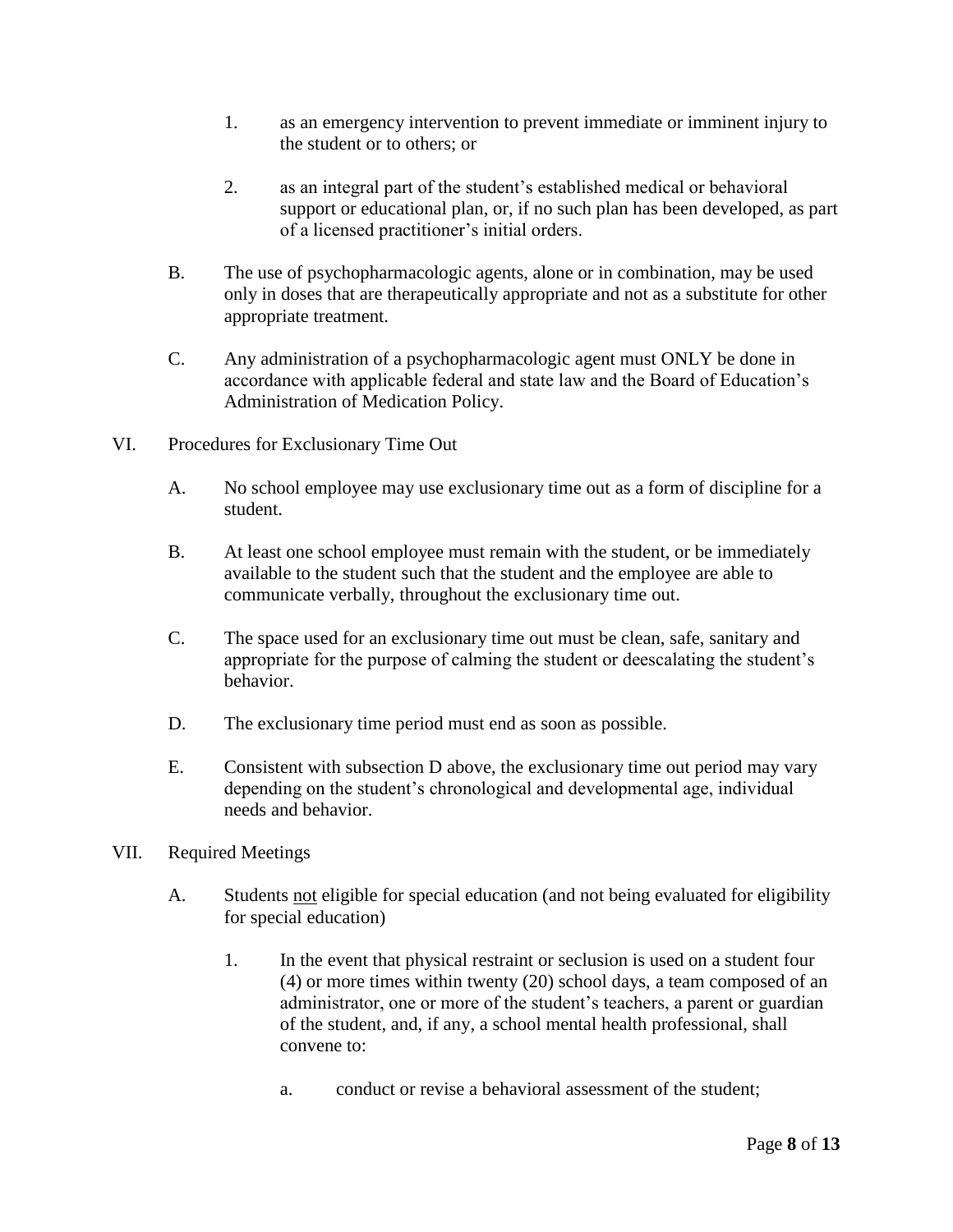- 1. as an emergency intervention to prevent immediate or imminent injury to the student or to others; or
- 2. as an integral part of the student's established medical or behavioral support or educational plan, or, if no such plan has been developed, as part of a licensed practitioner's initial orders.
- B. The use of psychopharmacologic agents, alone or in combination, may be used only in doses that are therapeutically appropriate and not as a substitute for other appropriate treatment.
- C. Any administration of a psychopharmacologic agent must ONLY be done in accordance with applicable federal and state law and the Board of Education's Administration of Medication Policy.
- VI. Procedures for Exclusionary Time Out
	- A. No school employee may use exclusionary time out as a form of discipline for a student.
	- B. At least one school employee must remain with the student, or be immediately available to the student such that the student and the employee are able to communicate verbally, throughout the exclusionary time out.
	- C. The space used for an exclusionary time out must be clean, safe, sanitary and appropriate for the purpose of calming the student or deescalating the student's behavior.
	- D. The exclusionary time period must end as soon as possible.
	- E. Consistent with subsection D above, the exclusionary time out period may vary depending on the student's chronological and developmental age, individual needs and behavior.
- VII. Required Meetings
	- A. Students not eligible for special education (and not being evaluated for eligibility for special education)
		- 1. In the event that physical restraint or seclusion is used on a student four (4) or more times within twenty (20) school days, a team composed of an administrator, one or more of the student's teachers, a parent or guardian of the student, and, if any, a school mental health professional, shall convene to:
			- a. conduct or revise a behavioral assessment of the student;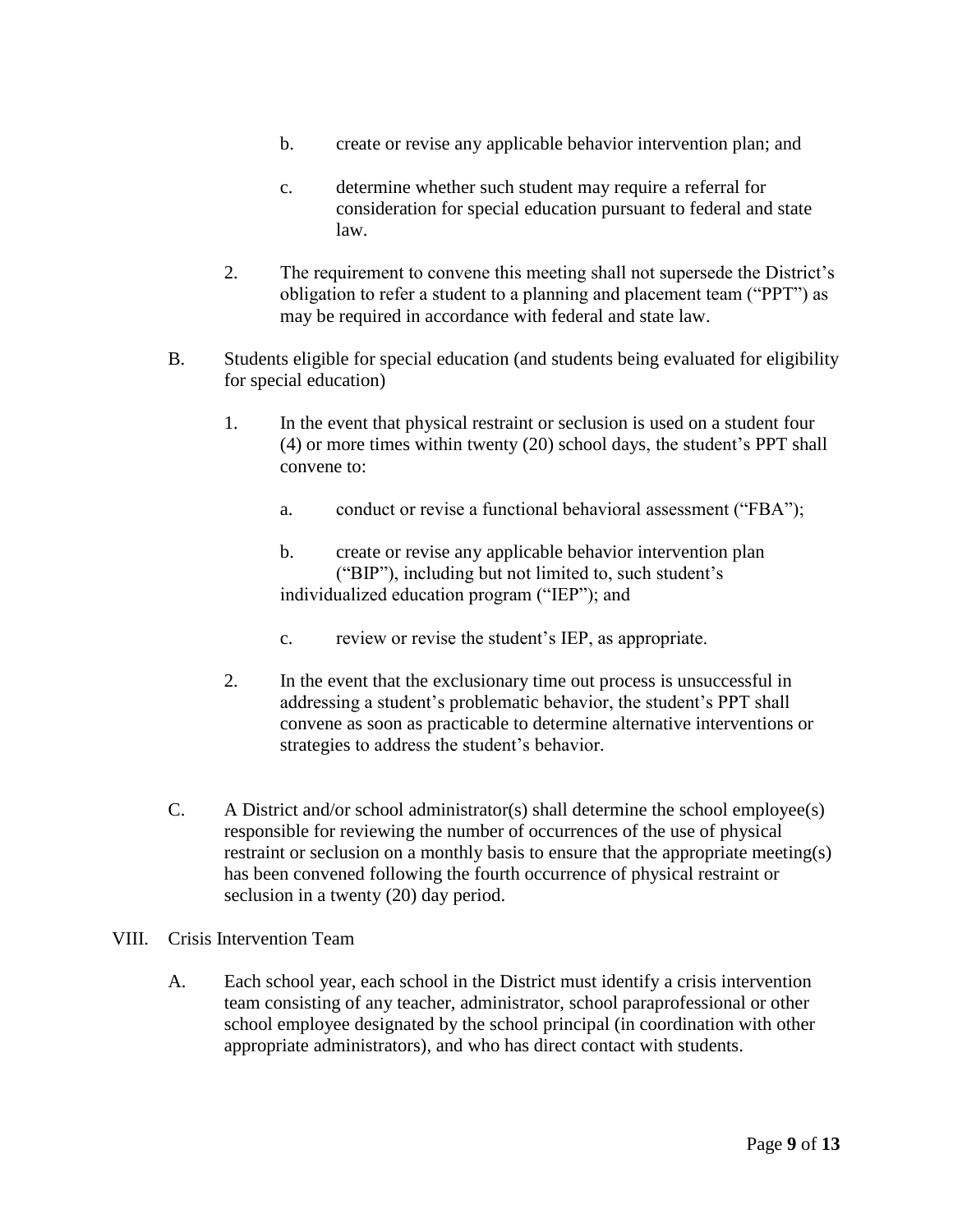- b. create or revise any applicable behavior intervention plan; and
- c. determine whether such student may require a referral for consideration for special education pursuant to federal and state law.
- 2. The requirement to convene this meeting shall not supersede the District's obligation to refer a student to a planning and placement team ("PPT") as may be required in accordance with federal and state law.
- B. Students eligible for special education (and students being evaluated for eligibility for special education)
	- 1. In the event that physical restraint or seclusion is used on a student four (4) or more times within twenty (20) school days, the student's PPT shall convene to:
		- a. conduct or revise a functional behavioral assessment ("FBA");
		- b. create or revise any applicable behavior intervention plan ("BIP"), including but not limited to, such student's individualized education program ("IEP"); and
		- c. review or revise the student's IEP, as appropriate.
	- 2. In the event that the exclusionary time out process is unsuccessful in addressing a student's problematic behavior, the student's PPT shall convene as soon as practicable to determine alternative interventions or strategies to address the student's behavior.
- C. A District and/or school administrator(s) shall determine the school employee(s) responsible for reviewing the number of occurrences of the use of physical restraint or seclusion on a monthly basis to ensure that the appropriate meeting(s) has been convened following the fourth occurrence of physical restraint or seclusion in a twenty (20) day period.
- VIII. Crisis Intervention Team
	- A. Each school year, each school in the District must identify a crisis intervention team consisting of any teacher, administrator, school paraprofessional or other school employee designated by the school principal (in coordination with other appropriate administrators), and who has direct contact with students.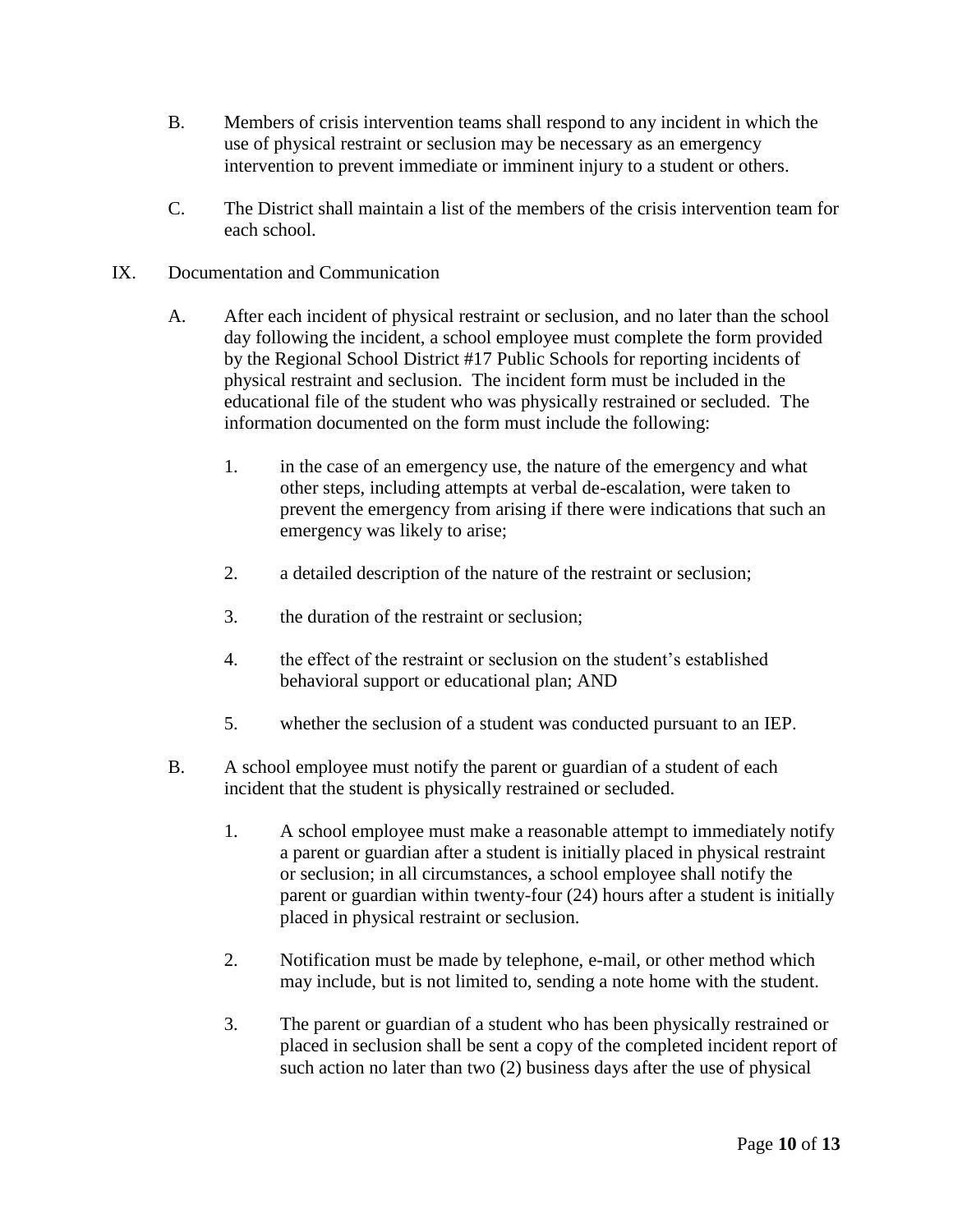- B. Members of crisis intervention teams shall respond to any incident in which the use of physical restraint or seclusion may be necessary as an emergency intervention to prevent immediate or imminent injury to a student or others.
- C. The District shall maintain a list of the members of the crisis intervention team for each school.
- IX. Documentation and Communication
	- A. After each incident of physical restraint or seclusion, and no later than the school day following the incident, a school employee must complete the form provided by the Regional School District #17 Public Schools for reporting incidents of physical restraint and seclusion. The incident form must be included in the educational file of the student who was physically restrained or secluded. The information documented on the form must include the following:
		- 1. in the case of an emergency use, the nature of the emergency and what other steps, including attempts at verbal de-escalation, were taken to prevent the emergency from arising if there were indications that such an emergency was likely to arise;
		- 2. a detailed description of the nature of the restraint or seclusion;
		- 3. the duration of the restraint or seclusion;
		- 4. the effect of the restraint or seclusion on the student's established behavioral support or educational plan; AND
		- 5. whether the seclusion of a student was conducted pursuant to an IEP.
	- B. A school employee must notify the parent or guardian of a student of each incident that the student is physically restrained or secluded.
		- 1. A school employee must make a reasonable attempt to immediately notify a parent or guardian after a student is initially placed in physical restraint or seclusion; in all circumstances, a school employee shall notify the parent or guardian within twenty-four (24) hours after a student is initially placed in physical restraint or seclusion.
		- 2. Notification must be made by telephone, e-mail, or other method which may include, but is not limited to, sending a note home with the student.
		- 3. The parent or guardian of a student who has been physically restrained or placed in seclusion shall be sent a copy of the completed incident report of such action no later than two (2) business days after the use of physical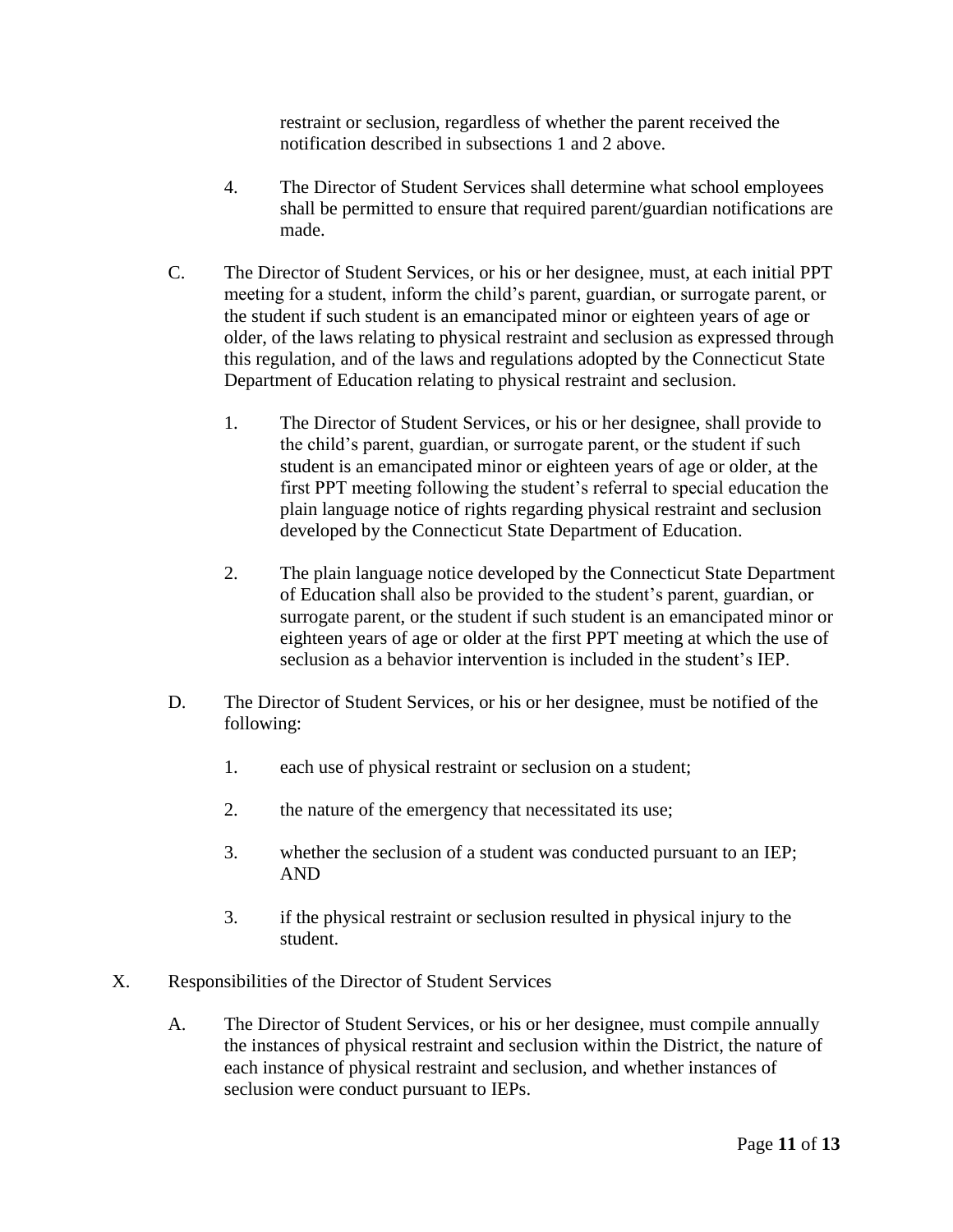restraint or seclusion, regardless of whether the parent received the notification described in subsections 1 and 2 above.

- 4. The Director of Student Services shall determine what school employees shall be permitted to ensure that required parent/guardian notifications are made.
- C. The Director of Student Services, or his or her designee, must, at each initial PPT meeting for a student, inform the child's parent, guardian, or surrogate parent, or the student if such student is an emancipated minor or eighteen years of age or older, of the laws relating to physical restraint and seclusion as expressed through this regulation, and of the laws and regulations adopted by the Connecticut State Department of Education relating to physical restraint and seclusion.
	- 1. The Director of Student Services, or his or her designee, shall provide to the child's parent, guardian, or surrogate parent, or the student if such student is an emancipated minor or eighteen years of age or older, at the first PPT meeting following the student's referral to special education the plain language notice of rights regarding physical restraint and seclusion developed by the Connecticut State Department of Education.
	- 2. The plain language notice developed by the Connecticut State Department of Education shall also be provided to the student's parent, guardian, or surrogate parent, or the student if such student is an emancipated minor or eighteen years of age or older at the first PPT meeting at which the use of seclusion as a behavior intervention is included in the student's IEP.
- D. The Director of Student Services, or his or her designee, must be notified of the following:
	- 1. each use of physical restraint or seclusion on a student;
	- 2. the nature of the emergency that necessitated its use;
	- 3. whether the seclusion of a student was conducted pursuant to an IEP; AND
	- 3. if the physical restraint or seclusion resulted in physical injury to the student.
- X. Responsibilities of the Director of Student Services
	- A. The Director of Student Services, or his or her designee, must compile annually the instances of physical restraint and seclusion within the District, the nature of each instance of physical restraint and seclusion, and whether instances of seclusion were conduct pursuant to IEPs.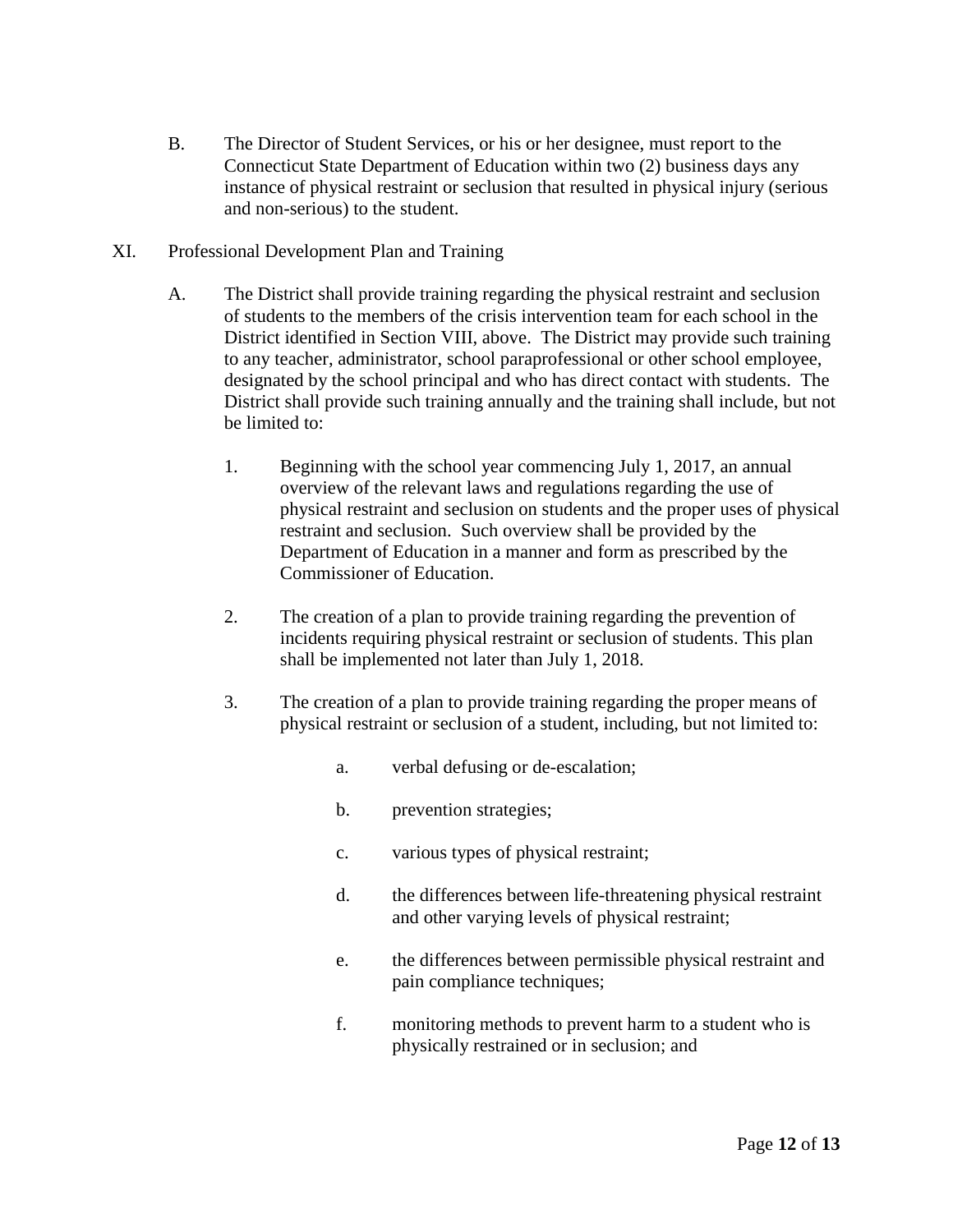- B. The Director of Student Services, or his or her designee, must report to the Connecticut State Department of Education within two (2) business days any instance of physical restraint or seclusion that resulted in physical injury (serious and non-serious) to the student.
- XI. Professional Development Plan and Training
	- A. The District shall provide training regarding the physical restraint and seclusion of students to the members of the crisis intervention team for each school in the District identified in Section VIII, above. The District may provide such training to any teacher, administrator, school paraprofessional or other school employee, designated by the school principal and who has direct contact with students. The District shall provide such training annually and the training shall include, but not be limited to:
		- 1. Beginning with the school year commencing July 1, 2017, an annual overview of the relevant laws and regulations regarding the use of physical restraint and seclusion on students and the proper uses of physical restraint and seclusion. Such overview shall be provided by the Department of Education in a manner and form as prescribed by the Commissioner of Education.
		- 2. The creation of a plan to provide training regarding the prevention of incidents requiring physical restraint or seclusion of students. This plan shall be implemented not later than July 1, 2018.
		- 3. The creation of a plan to provide training regarding the proper means of physical restraint or seclusion of a student, including, but not limited to:
			- a. verbal defusing or de-escalation;
			- b. prevention strategies;
			- c. various types of physical restraint;
			- d. the differences between life-threatening physical restraint and other varying levels of physical restraint;
			- e. the differences between permissible physical restraint and pain compliance techniques;
			- f. monitoring methods to prevent harm to a student who is physically restrained or in seclusion; and